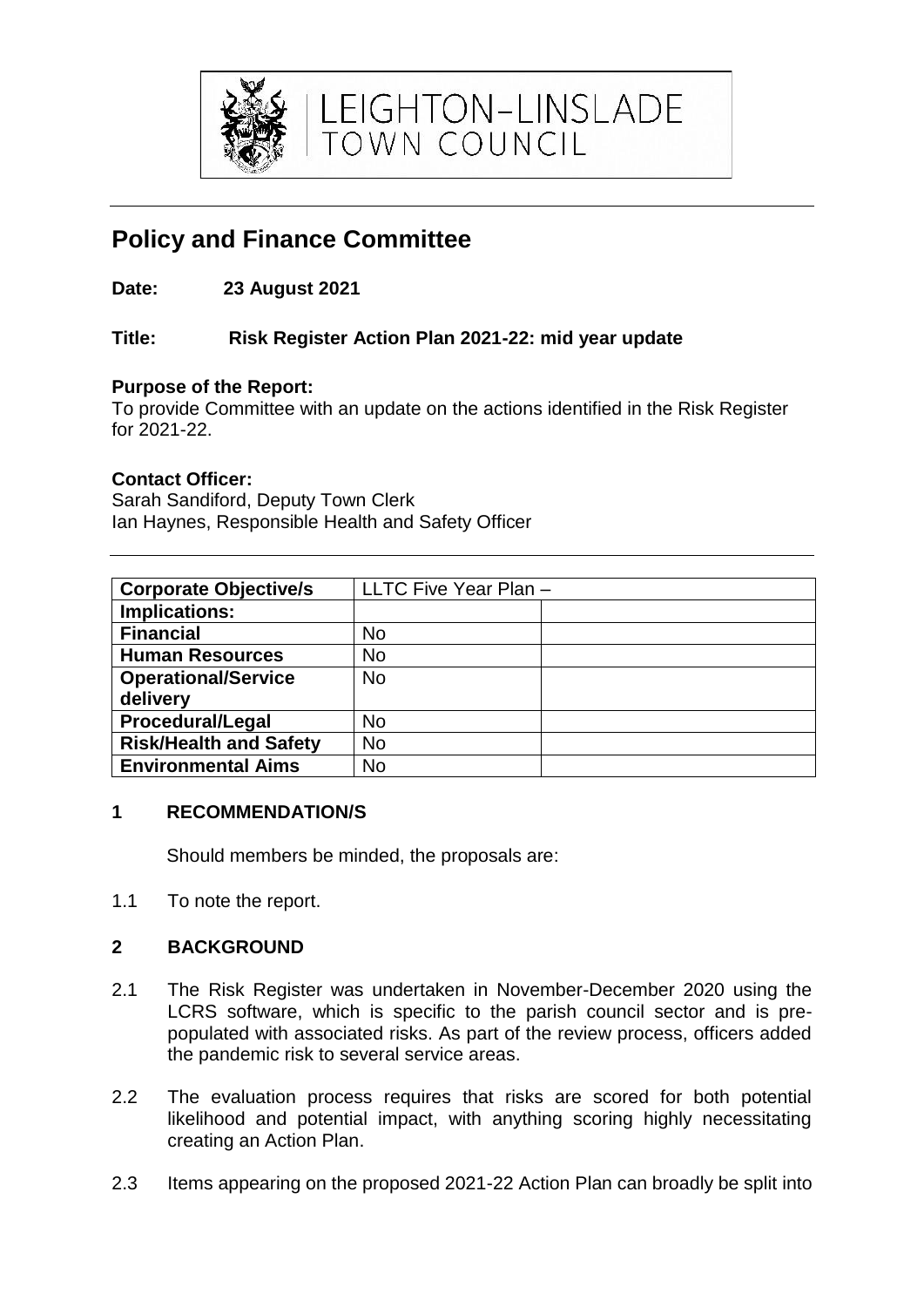

LEIGHTON-LINSLADE<br>TOWN COUNCIL

# **Policy and Finance Committee**

**Date: 23 August 2021**

## **Title: Risk Register Action Plan 2021-22: mid year update**

## **Purpose of the Report:**

To provide Committee with an update on the actions identified in the Risk Register for 2021-22.

## **Contact Officer:**

Sarah Sandiford, Deputy Town Clerk Ian Haynes, Responsible Health and Safety Officer

| <b>Corporate Objective/s</b>  | LLTC Five Year Plan - |
|-------------------------------|-----------------------|
| Implications:                 |                       |
| <b>Financial</b>              | <b>No</b>             |
| <b>Human Resources</b>        | <b>No</b>             |
| <b>Operational/Service</b>    | <b>No</b>             |
| delivery                      |                       |
| <b>Procedural/Legal</b>       | <b>No</b>             |
| <b>Risk/Health and Safety</b> | No                    |
| <b>Environmental Aims</b>     | No                    |

#### **1 RECOMMENDATION/S**

Should members be minded, the proposals are:

1.1 To note the report.

# **2 BACKGROUND**

- 2.1 The Risk Register was undertaken in November-December 2020 using the LCRS software, which is specific to the parish council sector and is prepopulated with associated risks. As part of the review process, officers added the pandemic risk to several service areas.
- 2.2 The evaluation process requires that risks are scored for both potential likelihood and potential impact, with anything scoring highly necessitating creating an Action Plan.
- 2.3 Items appearing on the proposed 2021-22 Action Plan can broadly be split into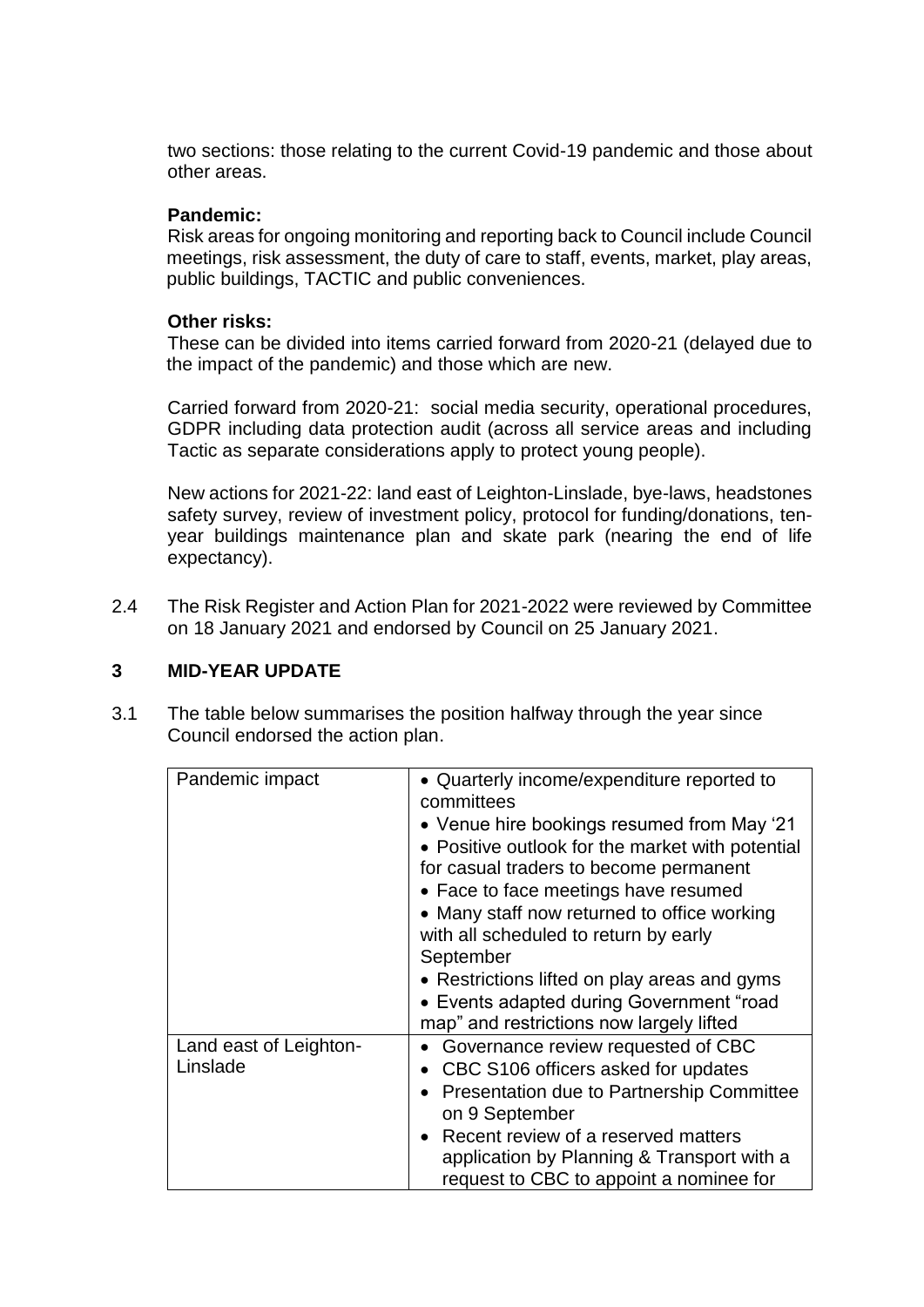two sections: those relating to the current Covid-19 pandemic and those about other areas.

#### **Pandemic:**

Risk areas for ongoing monitoring and reporting back to Council include Council meetings, risk assessment, the duty of care to staff, events, market, play areas, public buildings, TACTIC and public conveniences.

#### **Other risks:**

These can be divided into items carried forward from 2020-21 (delayed due to the impact of the pandemic) and those which are new.

Carried forward from 2020-21: social media security, operational procedures, GDPR including data protection audit (across all service areas and including Tactic as separate considerations apply to protect young people).

New actions for 2021-22: land east of Leighton-Linslade, bye-laws, headstones safety survey, review of investment policy, protocol for funding/donations, tenyear buildings maintenance plan and skate park (nearing the end of life expectancy).

2.4 The Risk Register and Action Plan for 2021-2022 were reviewed by Committee on 18 January 2021 and endorsed by Council on 25 January 2021.

## **3 MID-YEAR UPDATE**

3.1 The table below summarises the position halfway through the year since Council endorsed the action plan.

| Pandemic impact        | • Quarterly income/expenditure reported to<br>committees |
|------------------------|----------------------------------------------------------|
|                        | • Venue hire bookings resumed from May '21               |
|                        | • Positive outlook for the market with potential         |
|                        | for casual traders to become permanent                   |
|                        | • Face to face meetings have resumed                     |
|                        | • Many staff now returned to office working              |
|                        | with all scheduled to return by early                    |
|                        | September                                                |
|                        | • Restrictions lifted on play areas and gyms             |
|                        | • Events adapted during Government "road                 |
|                        | map" and restrictions now largely lifted                 |
| Land east of Leighton- | Governance review requested of CBC                       |
| Linslade               | CBC S106 officers asked for updates                      |
|                        | <b>Presentation due to Partnership Committee</b>         |
|                        | on 9 September                                           |
|                        | Recent review of a reserved matters                      |
|                        | application by Planning & Transport with a               |
|                        | request to CBC to appoint a nominee for                  |